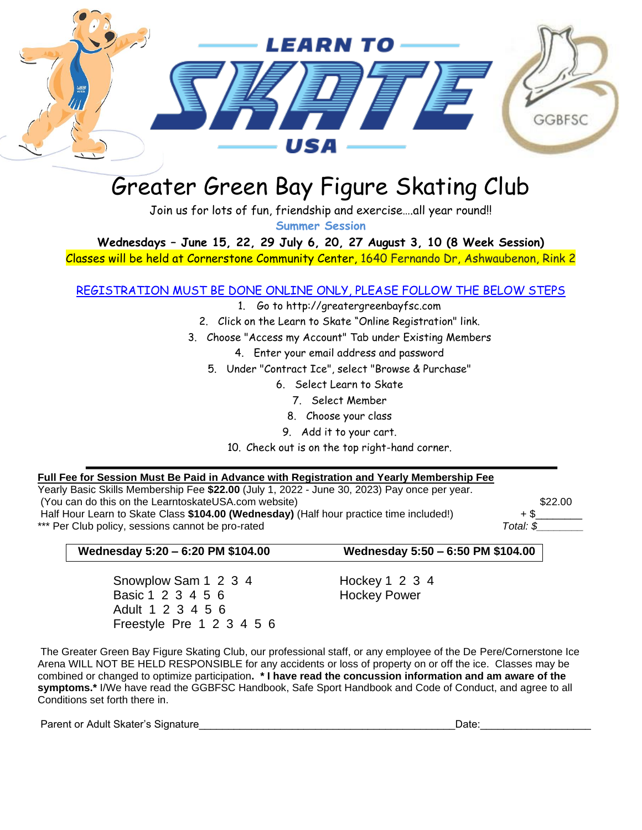

## Greater Green Bay Figure Skating Club

Join us for lots of fun, friendship and exercise….all year round!!

**Summer Session**

**Wednesdays – June 15, 22, 29 July 6, 20, 27 August 3, 10 (8 Week Session)**

Classes will be held at Cornerstone Community Center, 1640 Fernando Dr, Ashwaubenon, Rink 2

## REGISTRATION MUST BE DONE ONLINE ONLY, PLEASE FOLLOW THE BELOW STEPS

- 1. Go to http://greatergreenbayfsc.com
- 2. Click on the Learn to Skate "Online Registration" link.
- 3. Choose "Access my Account" Tab under Existing Members
	- 4. Enter your email address and password
	- 5. Under "Contract Ice", select "Browse & Purchase"
		- 6. Select Learn to Skate
			- 7. Select Member
			- 8. Choose your class
			- 9. Add it to your cart.

10. Check out is on the top right-hand corner.

## **Full Fee for Session Must Be Paid in Advance with Registration and Yearly Membership Fee**

Yearly Basic Skills Membership Fee **\$22.00** (July 1, 2022 - June 30, 2023) Pay once per year. (You can do this on the LearntoskateUSA.com website) \$22.00 Half Hour Learn to Skate Class \$104.00 (Wednesday) (Half hour practice time included!) + \$ \*\*\* Per Club policy, sessions cannot be pro-rated **The end of the set of the pro-rated** Total: \$

## **Wednesday 5:20 – 6:20 PM \$104.00 Wednesday 5:50 – 6:50 PM \$104.00**

Snowplow Sam 1 2 3 4 Hockey 1 2 3 4 Basic 1 2 3 4 5 6 Hockey Power Adult 1 2 3 4 5 6 Freestyle Pre 1 2 3 4 5 6

The Greater Green Bay Figure Skating Club, our professional staff, or any employee of the De Pere/Cornerstone Ice Arena WILL NOT BE HELD RESPONSIBLE for any accidents or loss of property on or off the ice. Classes may be combined or changed to optimize participation**. \* I have read the concussion information and am aware of the symptoms.\*** I/We have read the GGBFSC Handbook, Safe Sport Handbook and Code of Conduct, and agree to all Conditions set forth there in.

Parent or Adult Skater's Signature et al. And the set of the set of the set of the set of the set of the set o